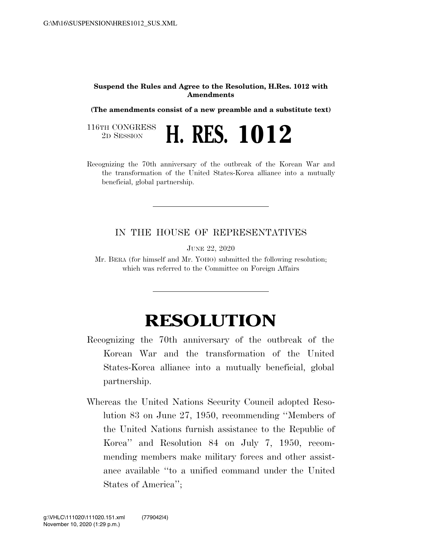## **Suspend the Rules and Agree to the Resolution, H.Res. 1012 with Amendments**

**(The amendments consist of a new preamble and a substitute text)** 

116TH CONGRESS<br>2D SESSION 2D SESSION **H. RES. 1012** 

Recognizing the 70th anniversary of the outbreak of the Korean War and the transformation of the United States-Korea alliance into a mutually beneficial, global partnership.

## IN THE HOUSE OF REPRESENTATIVES

JUNE 22, 2020

Mr. BERA (for himself and Mr. YOHO) submitted the following resolution; which was referred to the Committee on Foreign Affairs

## **RESOLUTION**

- Recognizing the 70th anniversary of the outbreak of the Korean War and the transformation of the United States-Korea alliance into a mutually beneficial, global partnership.
- Whereas the United Nations Security Council adopted Resolution 83 on June 27, 1950, recommending ''Members of the United Nations furnish assistance to the Republic of Korea'' and Resolution 84 on July 7, 1950, recommending members make military forces and other assistance available ''to a unified command under the United States of America'';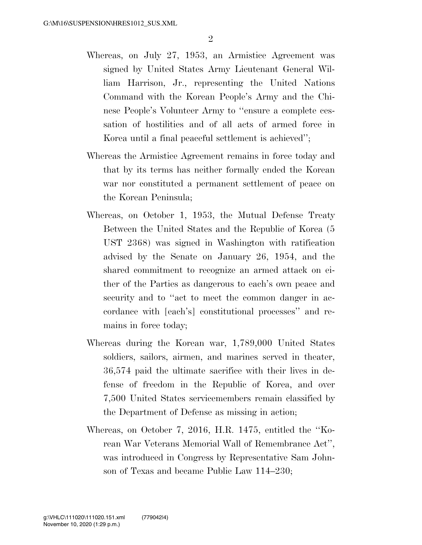- Whereas, on July 27, 1953, an Armistice Agreement was signed by United States Army Lieutenant General William Harrison, Jr., representing the United Nations Command with the Korean People's Army and the Chinese People's Volunteer Army to ''ensure a complete cessation of hostilities and of all acts of armed force in Korea until a final peaceful settlement is achieved'';
- Whereas the Armistice Agreement remains in force today and that by its terms has neither formally ended the Korean war nor constituted a permanent settlement of peace on the Korean Peninsula;
- Whereas, on October 1, 1953, the Mutual Defense Treaty Between the United States and the Republic of Korea (5 UST 2368) was signed in Washington with ratification advised by the Senate on January 26, 1954, and the shared commitment to recognize an armed attack on either of the Parties as dangerous to each's own peace and security and to "act to meet the common danger in accordance with [each's] constitutional processes'' and remains in force today;
- Whereas during the Korean war, 1,789,000 United States soldiers, sailors, airmen, and marines served in theater, 36,574 paid the ultimate sacrifice with their lives in defense of freedom in the Republic of Korea, and over 7,500 United States servicemembers remain classified by the Department of Defense as missing in action;
- Whereas, on October 7, 2016, H.R. 1475, entitled the ''Korean War Veterans Memorial Wall of Remembrance Act'', was introduced in Congress by Representative Sam Johnson of Texas and became Public Law 114–230;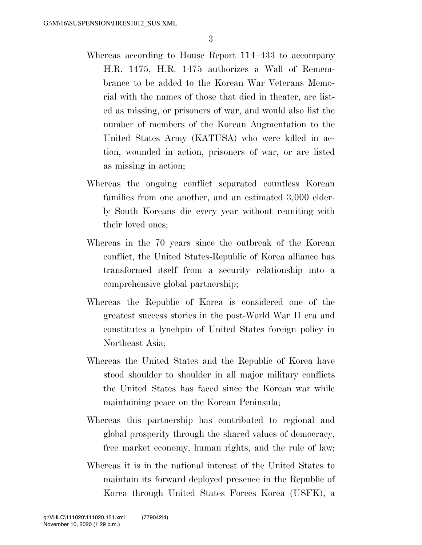- Whereas according to House Report 114–433 to accompany H.R. 1475, H.R. 1475 authorizes a Wall of Remembrance to be added to the Korean War Veterans Memorial with the names of those that died in theater, are listed as missing, or prisoners of war, and would also list the number of members of the Korean Augmentation to the United States Army (KATUSA) who were killed in action, wounded in action, prisoners of war, or are listed as missing in action;
- Whereas the ongoing conflict separated countless Korean families from one another, and an estimated 3,000 elderly South Koreans die every year without reuniting with their loved ones;
- Whereas in the 70 years since the outbreak of the Korean conflict, the United States-Republic of Korea alliance has transformed itself from a security relationship into a comprehensive global partnership;
- Whereas the Republic of Korea is considered one of the greatest success stories in the post-World War II era and constitutes a lynchpin of United States foreign policy in Northeast Asia;
- Whereas the United States and the Republic of Korea have stood shoulder to shoulder in all major military conflicts the United States has faced since the Korean war while maintaining peace on the Korean Peninsula;
- Whereas this partnership has contributed to regional and global prosperity through the shared values of democracy, free market economy, human rights, and the rule of law;
- Whereas it is in the national interest of the United States to maintain its forward deployed presence in the Republic of Korea through United States Forces Korea (USFK), a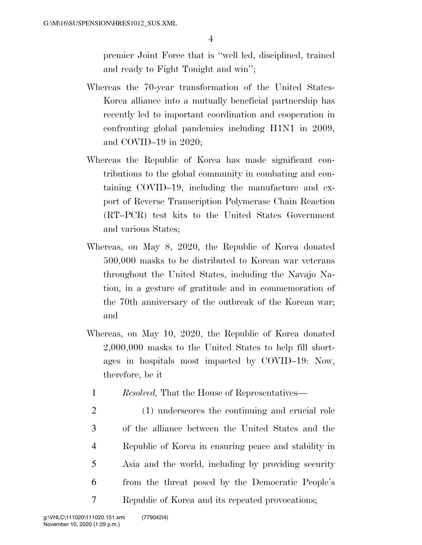premier Joint Force that is ''well led, disciplined, trained and ready to Fight Tonight and win'';

- Whereas the 70-year transformation of the United States-Korea alliance into a mutually beneficial partnership has recently led to important coordination and cooperation in confronting global pandemics including H1N1 in 2009, and COVID–19 in 2020;
- Whereas the Republic of Korea has made significant contributions to the global community in combating and containing COVID–19, including the manufacture and export of Reverse Transcription Polymerase Chain Reaction (RT–PCR) test kits to the United States Government and various States;
- Whereas, on May 8, 2020, the Republic of Korea donated 500,000 masks to be distributed to Korean war veterans throughout the United States, including the Navajo Nation, in a gesture of gratitude and in commemoration of the 70th anniversary of the outbreak of the Korean war; and
- Whereas, on May 10, 2020, the Republic of Korea donated 2,000,000 masks to the United States to help fill shortages in hospitals most impacted by COVID–19: Now, therefore, be it
	- 1 *Resolved,* That the House of Representatives—
- 2 (1) underscores the continuing and crucial role 3 of the alliance between the United States and the 4 Republic of Korea in ensuring peace and stability in 5 Asia and the world, including by providing security 6 from the threat posed by the Democratic People's 7 Republic of Korea and its repeated provocations;